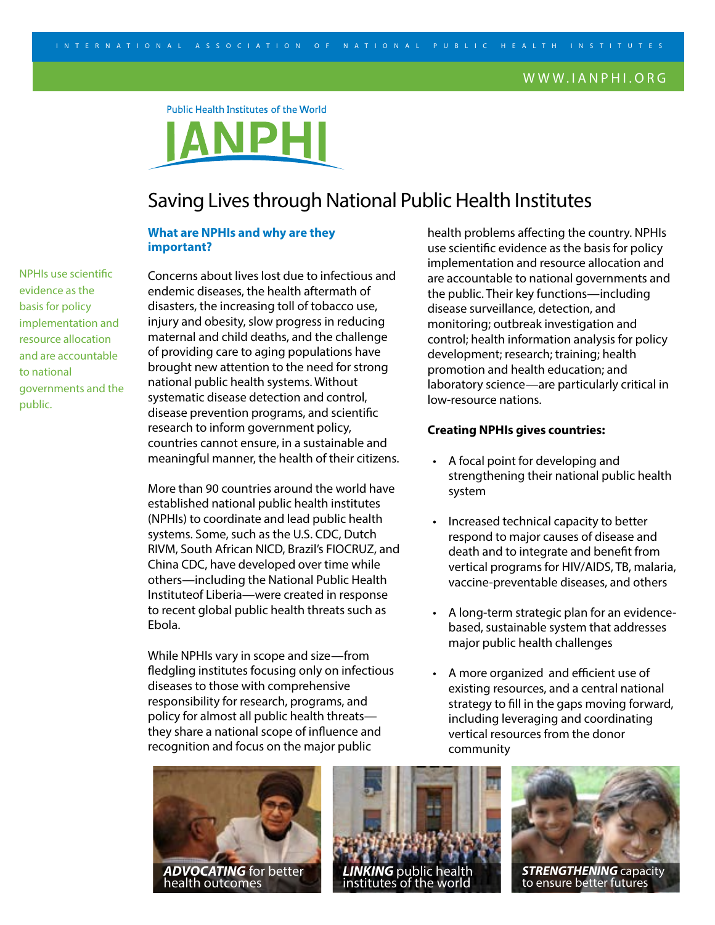Public Health Institutes of the World



# Saving Lives through National Public Health Institutes

## **What are NPHIs and why are they important?**

NPHIs use scientific evidence as the basis for policy implementation and resource allocation and are accountable to national governments and the public.

Concerns about lives lost due to infectious and endemic diseases, the health aftermath of disasters, the increasing toll of tobacco use, injury and obesity, slow progress in reducing maternal and child deaths, and the challenge of providing care to aging populations have brought new attention to the need for strong national public health systems. Without systematic disease detection and control, disease prevention programs, and scientific research to inform government policy, countries cannot ensure, in a sustainable and meaningful manner, the health of their citizens.

More than 90 countries around the world have established national public health institutes (NPHIs) to coordinate and lead public health systems. Some, such as the U.S. CDC, Dutch RIVM, South African NICD, Brazil's FIOCRUZ, and China CDC, have developed over time while others—including the National Public Health Instituteof Liberia—were created in response to recent global public health threats such as Ebola.

While NPHIs vary in scope and size—from fledgling institutes focusing only on infectious diseases to those with comprehensive responsibility for research, programs, and policy for almost all public health threats they share a national scope of influence and recognition and focus on the major public

health problems affecting the country. NPHIs use scientific evidence as the basis for policy implementation and resource allocation and are accountable to national governments and the public. Their key functions—including disease surveillance, detection, and monitoring; outbreak investigation and control; health information analysis for policy development; research; training; health promotion and health education; and laboratory science—are particularly critical in low-resource nations.

## **Creating NPHIs gives countries:**

- A focal point for developing and strengthening their national public health system
- Increased technical capacity to better respond to major causes of disease and death and to integrate and benefit from vertical programs for HIV/AIDS, TB, malaria, vaccine-preventable diseases, and others
- A long-term strategic plan for an evidencebased, sustainable system that addresses major public health challenges
- A more organized and efficient use of existing resources, and a central national strategy to fill in the gaps moving forward, including leveraging and coordinating vertical resources from the donor community







**STRENGTHENING** capacity<br>to ensure better futures